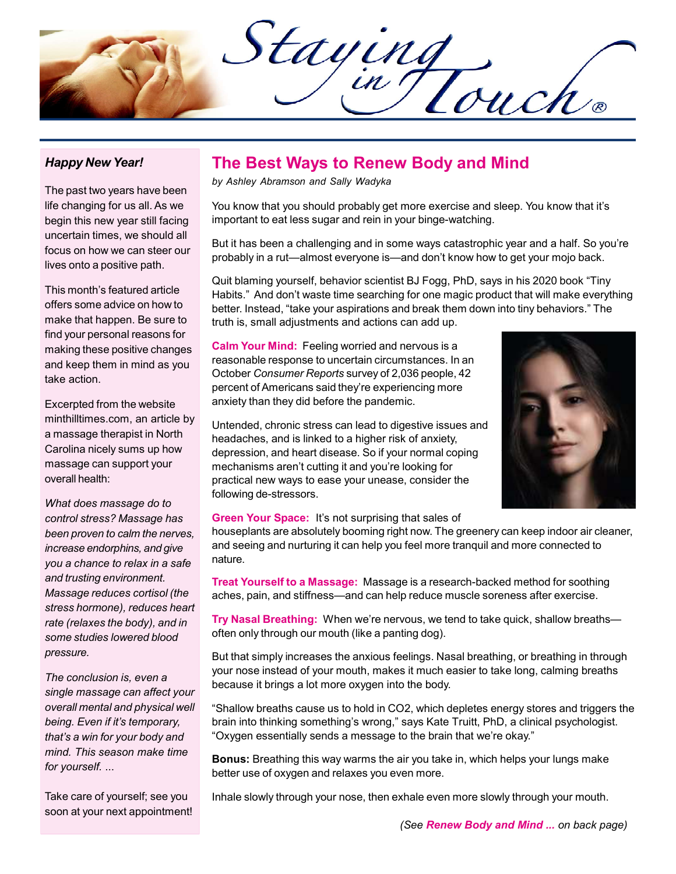Staying

## Happy New Year!

The past two years have been life changing for us all. As we begin this new year still facing uncertain times, we should all focus on how we can steer our lives onto a positive path.

This month's featured article offers some advice on how to make that happen. Be sure to find your personal reasons for making these positive changes and keep them in mind as you take action.

Excerpted from the website minthilltimes.com, an article by a massage therapist in North Carolina nicely sums up how massage can support your overall health:

What does massage do to control stress? Massage has been proven to calm the nerves, increase endorphins, and give you a chance to relax in a safe and trusting environment. Massage reduces cortisol (the stress hormone), reduces heart rate (relaxes the body), and in some studies lowered blood pressure.

The conclusion is, even a single massage can affect your overall mental and physical well being. Even if it's temporary, that's a win for your body and mind. This season make time for yourself. ...

Take care of yourself; see you soon at your next appointment!

# The Best Ways to Renew Body and Mind

by Ashley Abramson and Sally Wadyka

You know that you should probably get more exercise and sleep. You know that it's important to eat less sugar and rein in your binge-watching.

But it has been a challenging and in some ways catastrophic year and a half. So you're probably in a rut—almost everyone is—and don't know how to get your mojo back.

Quit blaming yourself, behavior scientist BJ Fogg, PhD, says in his 2020 book "Tiny Habits." And don't waste time searching for one magic product that will make everything better. Instead, "take your aspirations and break them down into tiny behaviors." The truth is, small adjustments and actions can add up.

**Calm Your Mind:** Feeling worried and nervous is a reasonable response to uncertain circumstances. In an October Consumer Reports survey of 2,036 people, 42 percent of Americans said they're experiencing more anxiety than they did before the pandemic.

Untended, chronic stress can lead to digestive issues and headaches, and is linked to a higher risk of anxiety, depression, and heart disease. So if your normal coping mechanisms aren't cutting it and you're looking for practical new ways to ease your unease, consider the following de-stressors.



#### **Green Your Space:** It's not surprising that sales of

houseplants are absolutely booming right now. The greenery can keep indoor air cleaner, and seeing and nurturing it can help you feel more tranquil and more connected to nature.

**Treat Yourself to a Massage:** Massage is a research-backed method for soothing aches, pain, and stiffness—and can help reduce muscle soreness after exercise.

Try Nasal Breathing: When we're nervous, we tend to take quick, shallow breathsoften only through our mouth (like a panting dog).

But that simply increases the anxious feelings. Nasal breathing, or breathing in through your nose instead of your mouth, makes it much easier to take long, calming breaths because it brings a lot more oxygen into the body.

"Shallow breaths cause us to hold in CO2, which depletes energy stores and triggers the brain into thinking something's wrong," says Kate Truitt, PhD, a clinical psychologist. "Oxygen essentially sends a message to the brain that we're okay."

Bonus: Breathing this way warms the air you take in, which helps your lungs make better use of oxygen and relaxes you even more.

Inhale slowly through your nose, then exhale even more slowly through your mouth.